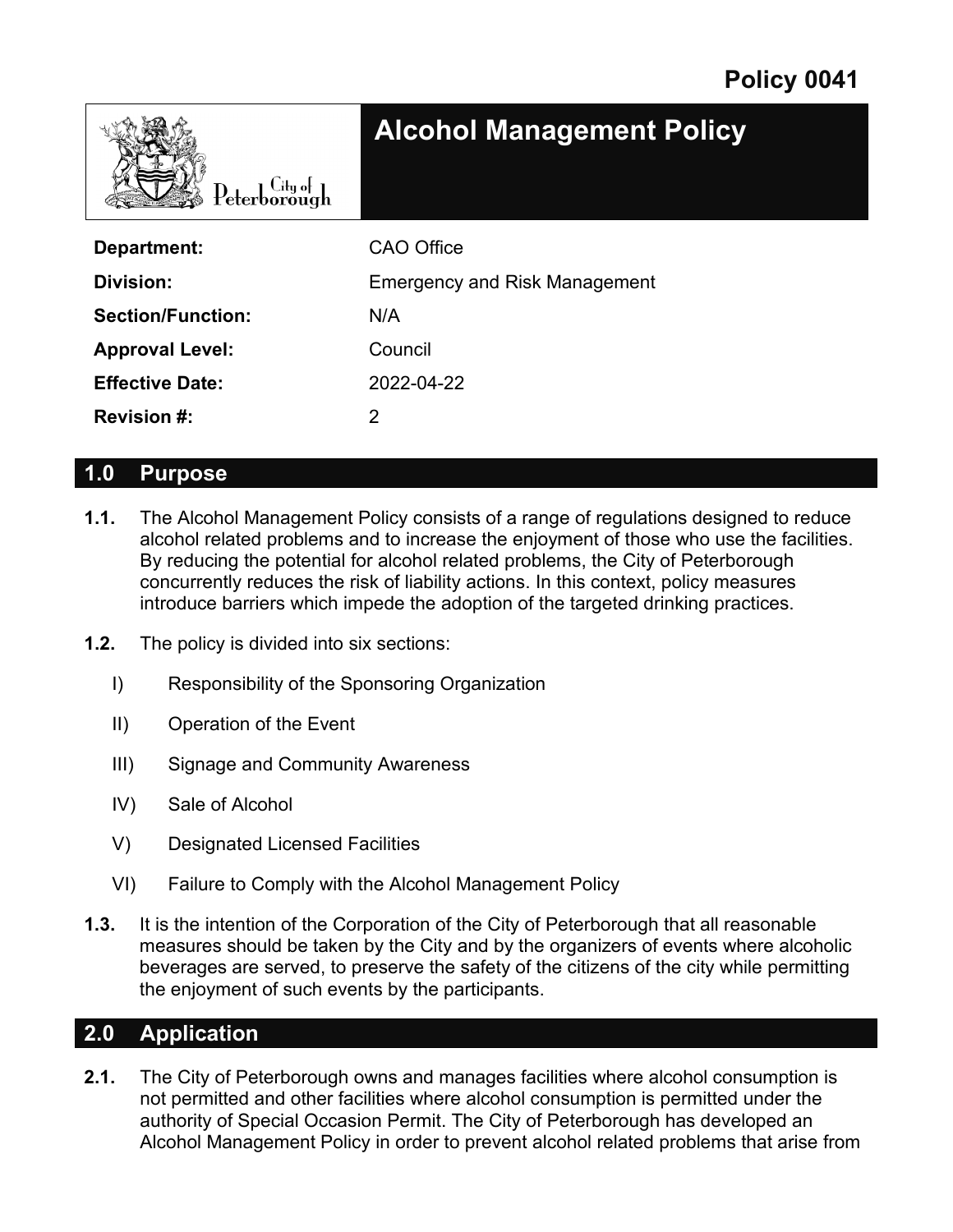

| Department:              | <b>CAO Office</b>                    |  |
|--------------------------|--------------------------------------|--|
| Division:                | <b>Emergency and Risk Management</b> |  |
| <b>Section/Function:</b> | N/A                                  |  |
| <b>Approval Level:</b>   | Council                              |  |
| <b>Effective Date:</b>   | 2022-04-22                           |  |
| <b>Revision #:</b>       |                                      |  |

### **1.0 Purpose**

- **1.1.** The Alcohol Management Policy consists of a range of regulations designed to reduce alcohol related problems and to increase the enjoyment of those who use the facilities. By reducing the potential for alcohol related problems, the City of Peterborough concurrently reduces the risk of liability actions. In this context, policy measures introduce barriers which impede the adoption of the targeted drinking practices.
- **1.2.** The policy is divided into six sections:
	- I) Responsibility of the Sponsoring Organization
	- II) Operation of the Event
	- III) Signage and Community Awareness
	- IV) Sale of Alcohol
	- V) Designated Licensed Facilities
	- VI) Failure to Comply with the Alcohol Management Policy
- **1.3.** It is the intention of the Corporation of the City of Peterborough that all reasonable measures should be taken by the City and by the organizers of events where alcoholic beverages are served, to preserve the safety of the citizens of the city while permitting the enjoyment of such events by the participants.

### **2.0 Application**

**2.1.** The City of Peterborough owns and manages facilities where alcohol consumption is not permitted and other facilities where alcohol consumption is permitted under the authority of Special Occasion Permit. The City of Peterborough has developed an Alcohol Management Policy in order to prevent alcohol related problems that arise from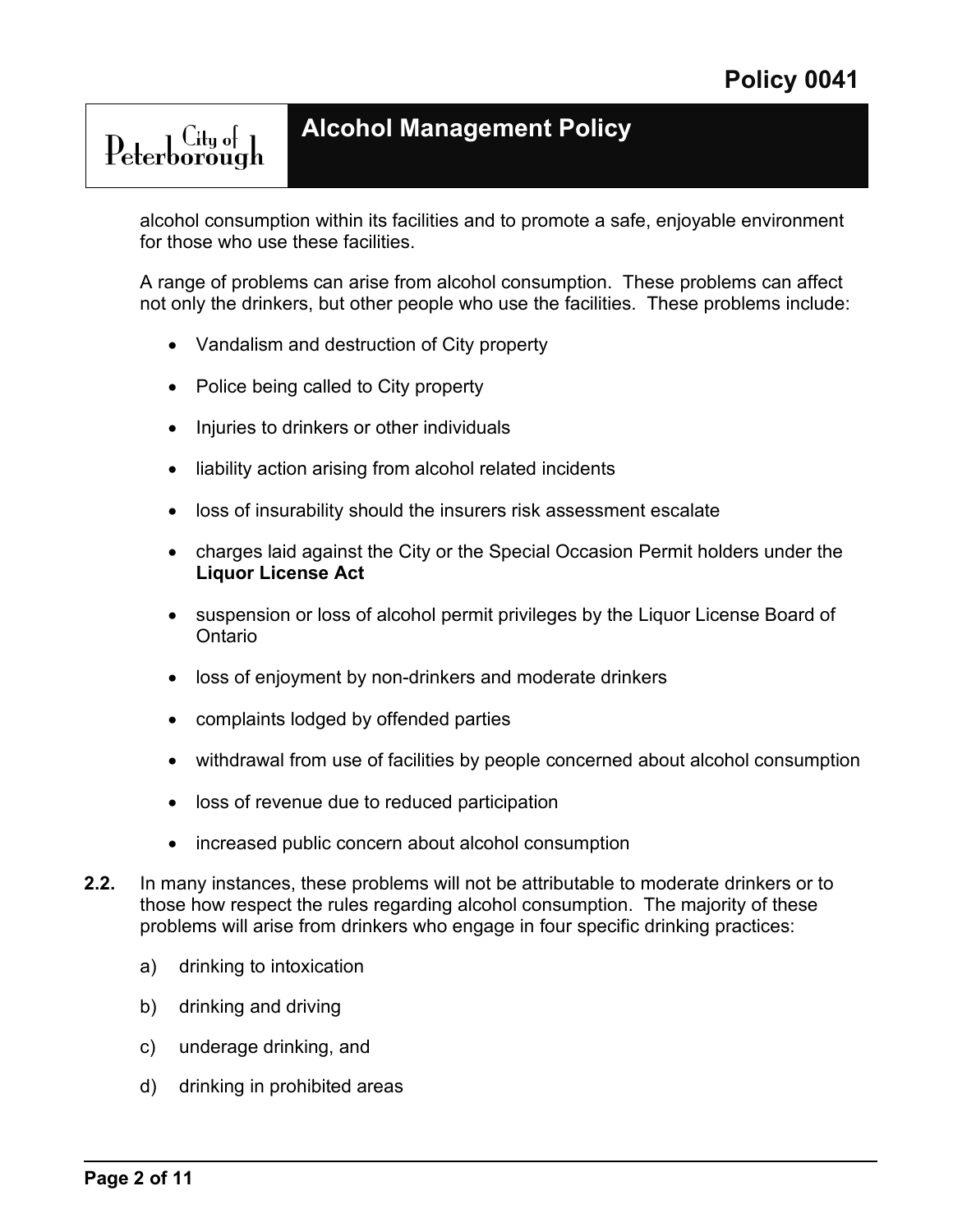alcohol consumption within its facilities and to promote a safe, enjoyable environment for those who use these facilities.

A range of problems can arise from alcohol consumption. These problems can affect not only the drinkers, but other people who use the facilities. These problems include:

- Vandalism and destruction of City property
- Police being called to City property

Peterborough

- Injuries to drinkers or other individuals
- liability action arising from alcohol related incidents
- loss of insurability should the insurers risk assessment escalate
- charges laid against the City or the Special Occasion Permit holders under the **Liquor License Act**
- suspension or loss of alcohol permit privileges by the Liquor License Board of **Ontario**
- loss of enjoyment by non-drinkers and moderate drinkers
- complaints lodged by offended parties
- withdrawal from use of facilities by people concerned about alcohol consumption
- loss of revenue due to reduced participation
- increased public concern about alcohol consumption
- **2.2.** In many instances, these problems will not be attributable to moderate drinkers or to those how respect the rules regarding alcohol consumption. The majority of these problems will arise from drinkers who engage in four specific drinking practices:
	- a) drinking to intoxication
	- b) drinking and driving
	- c) underage drinking, and
	- d) drinking in prohibited areas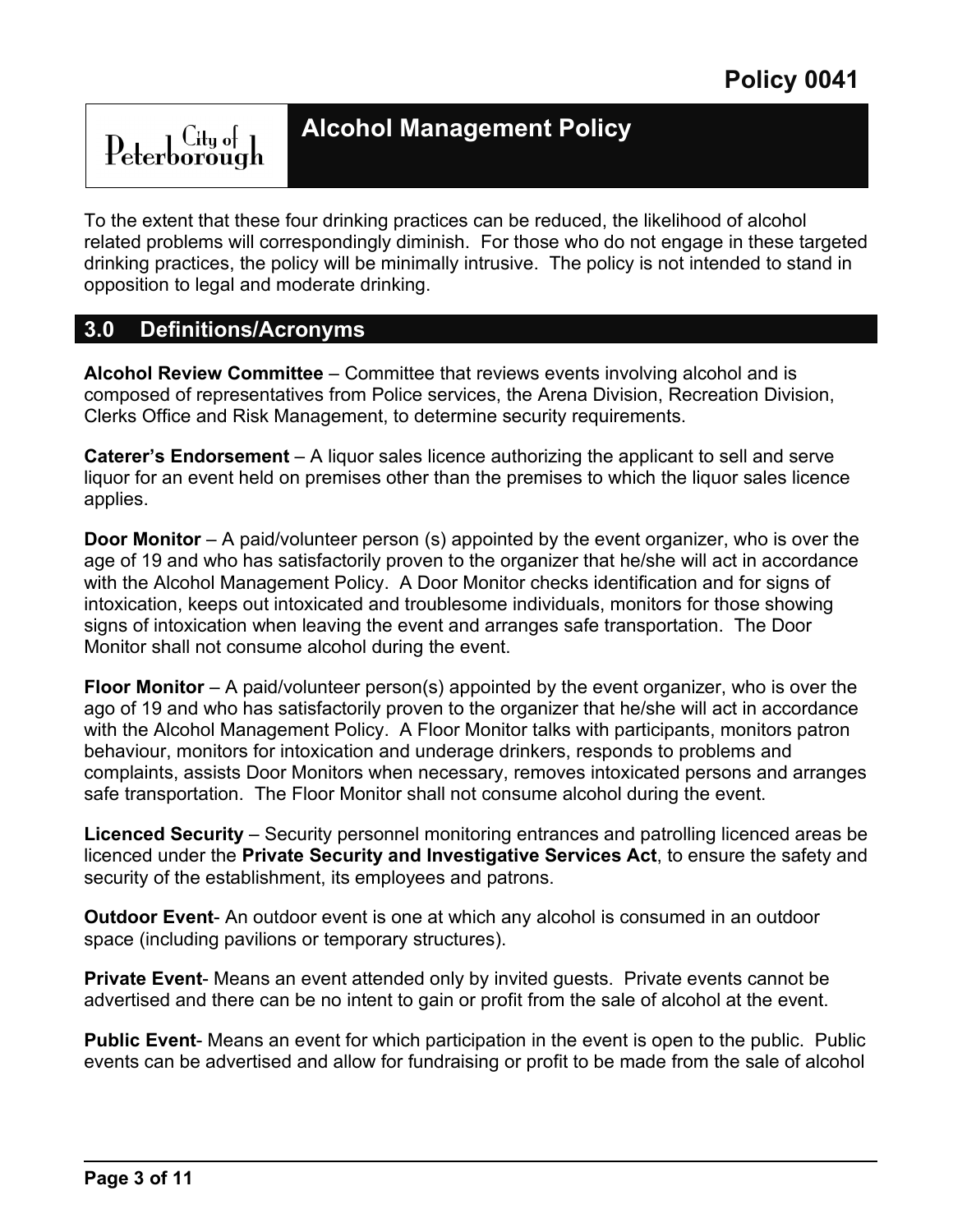## **Alcohol Management Policy**

To the extent that these four drinking practices can be reduced, the likelihood of alcohol related problems will correspondingly diminish. For those who do not engage in these targeted drinking practices, the policy will be minimally intrusive. The policy is not intended to stand in opposition to legal and moderate drinking.

### **3.0 Definitions/Acronyms**

**Alcohol Review Committee** – Committee that reviews events involving alcohol and is composed of representatives from Police services, the Arena Division, Recreation Division, Clerks Office and Risk Management, to determine security requirements.

**Caterer's Endorsement** – A liquor sales licence authorizing the applicant to sell and serve liquor for an event held on premises other than the premises to which the liquor sales licence applies.

**Door Monitor** – A paid/volunteer person (s) appointed by the event organizer, who is over the age of 19 and who has satisfactorily proven to the organizer that he/she will act in accordance with the Alcohol Management Policy. A Door Monitor checks identification and for signs of intoxication, keeps out intoxicated and troublesome individuals, monitors for those showing signs of intoxication when leaving the event and arranges safe transportation. The Door Monitor shall not consume alcohol during the event.

**Floor Monitor** – A paid/volunteer person(s) appointed by the event organizer, who is over the ago of 19 and who has satisfactorily proven to the organizer that he/she will act in accordance with the Alcohol Management Policy. A Floor Monitor talks with participants, monitors patron behaviour, monitors for intoxication and underage drinkers, responds to problems and complaints, assists Door Monitors when necessary, removes intoxicated persons and arranges safe transportation. The Floor Monitor shall not consume alcohol during the event.

**Licenced Security** – Security personnel monitoring entrances and patrolling licenced areas be licenced under the **Private Security and Investigative Services Act**, to ensure the safety and security of the establishment, its employees and patrons.

**Outdoor Event**- An outdoor event is one at which any alcohol is consumed in an outdoor space (including pavilions or temporary structures).

**Private Event**- Means an event attended only by invited guests. Private events cannot be advertised and there can be no intent to gain or profit from the sale of alcohol at the event.

**Public Event**- Means an event for which participation in the event is open to the public. Public events can be advertised and allow for fundraising or profit to be made from the sale of alcohol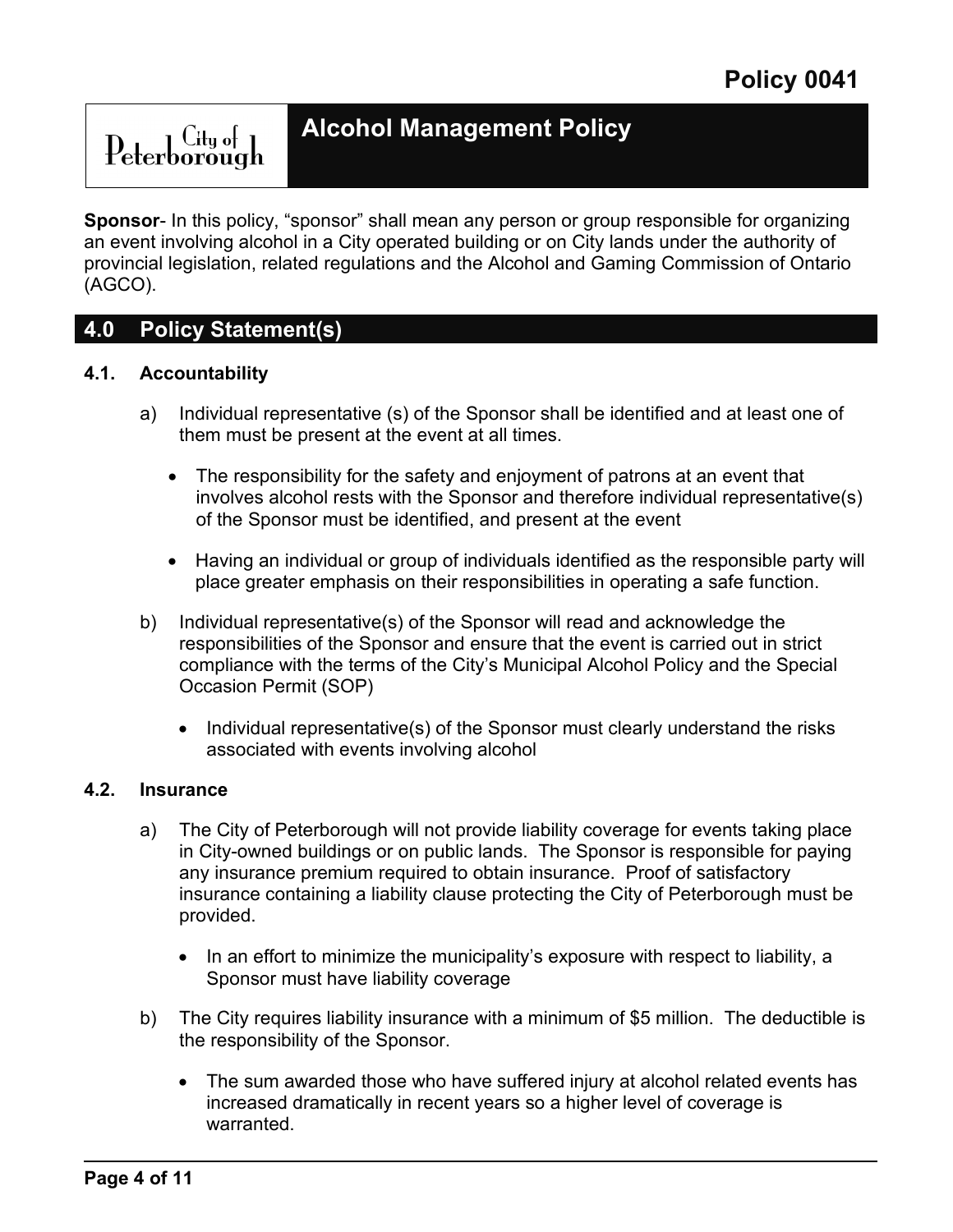## **Alcohol Management Policy**

**Sponsor**- In this policy, "sponsor" shall mean any person or group responsible for organizing an event involving alcohol in a City operated building or on City lands under the authority of provincial legislation, related regulations and the Alcohol and Gaming Commission of Ontario (AGCO).

### **4.0 Policy Statement(s)**

### **4.1. Accountability**

- a) Individual representative (s) of the Sponsor shall be identified and at least one of them must be present at the event at all times.
	- The responsibility for the safety and enjoyment of patrons at an event that involves alcohol rests with the Sponsor and therefore individual representative(s) of the Sponsor must be identified, and present at the event
	- Having an individual or group of individuals identified as the responsible party will place greater emphasis on their responsibilities in operating a safe function.
- b) Individual representative(s) of the Sponsor will read and acknowledge the responsibilities of the Sponsor and ensure that the event is carried out in strict compliance with the terms of the City's Municipal Alcohol Policy and the Special Occasion Permit (SOP)
	- Individual representative(s) of the Sponsor must clearly understand the risks associated with events involving alcohol

### **4.2. Insurance**

- a) The City of Peterborough will not provide liability coverage for events taking place in City-owned buildings or on public lands. The Sponsor is responsible for paying any insurance premium required to obtain insurance. Proof of satisfactory insurance containing a liability clause protecting the City of Peterborough must be provided.
	- In an effort to minimize the municipality's exposure with respect to liability, a Sponsor must have liability coverage
- b) The City requires liability insurance with a minimum of \$5 million. The deductible is the responsibility of the Sponsor.
	- The sum awarded those who have suffered injury at alcohol related events has increased dramatically in recent years so a higher level of coverage is warranted.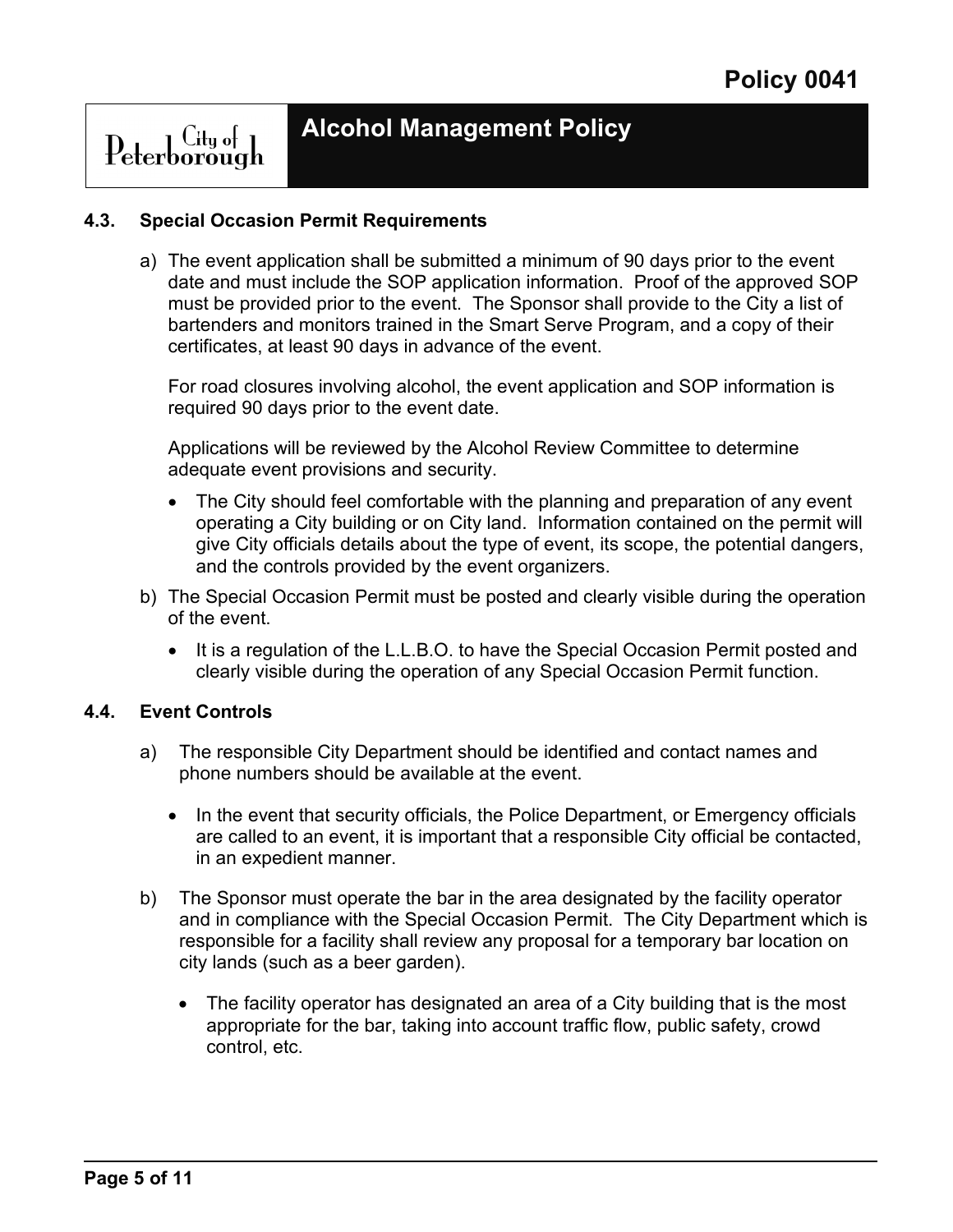## Peterborough

### **4.3. Special Occasion Permit Requirements**

a) The event application shall be submitted a minimum of 90 days prior to the event date and must include the SOP application information. Proof of the approved SOP must be provided prior to the event. The Sponsor shall provide to the City a list of bartenders and monitors trained in the Smart Serve Program, and a copy of their certificates, at least 90 days in advance of the event.

For road closures involving alcohol, the event application and SOP information is required 90 days prior to the event date.

Applications will be reviewed by the Alcohol Review Committee to determine adequate event provisions and security.

- The City should feel comfortable with the planning and preparation of any event operating a City building or on City land. Information contained on the permit will give City officials details about the type of event, its scope, the potential dangers, and the controls provided by the event organizers.
- b) The Special Occasion Permit must be posted and clearly visible during the operation of the event.
	- It is a regulation of the L.L.B.O. to have the Special Occasion Permit posted and clearly visible during the operation of any Special Occasion Permit function.

### **4.4. Event Controls**

- a) The responsible City Department should be identified and contact names and phone numbers should be available at the event.
	- In the event that security officials, the Police Department, or Emergency officials are called to an event, it is important that a responsible City official be contacted, in an expedient manner.
- b) The Sponsor must operate the bar in the area designated by the facility operator and in compliance with the Special Occasion Permit. The City Department which is responsible for a facility shall review any proposal for a temporary bar location on city lands (such as a beer garden).
	- The facility operator has designated an area of a City building that is the most appropriate for the bar, taking into account traffic flow, public safety, crowd control, etc.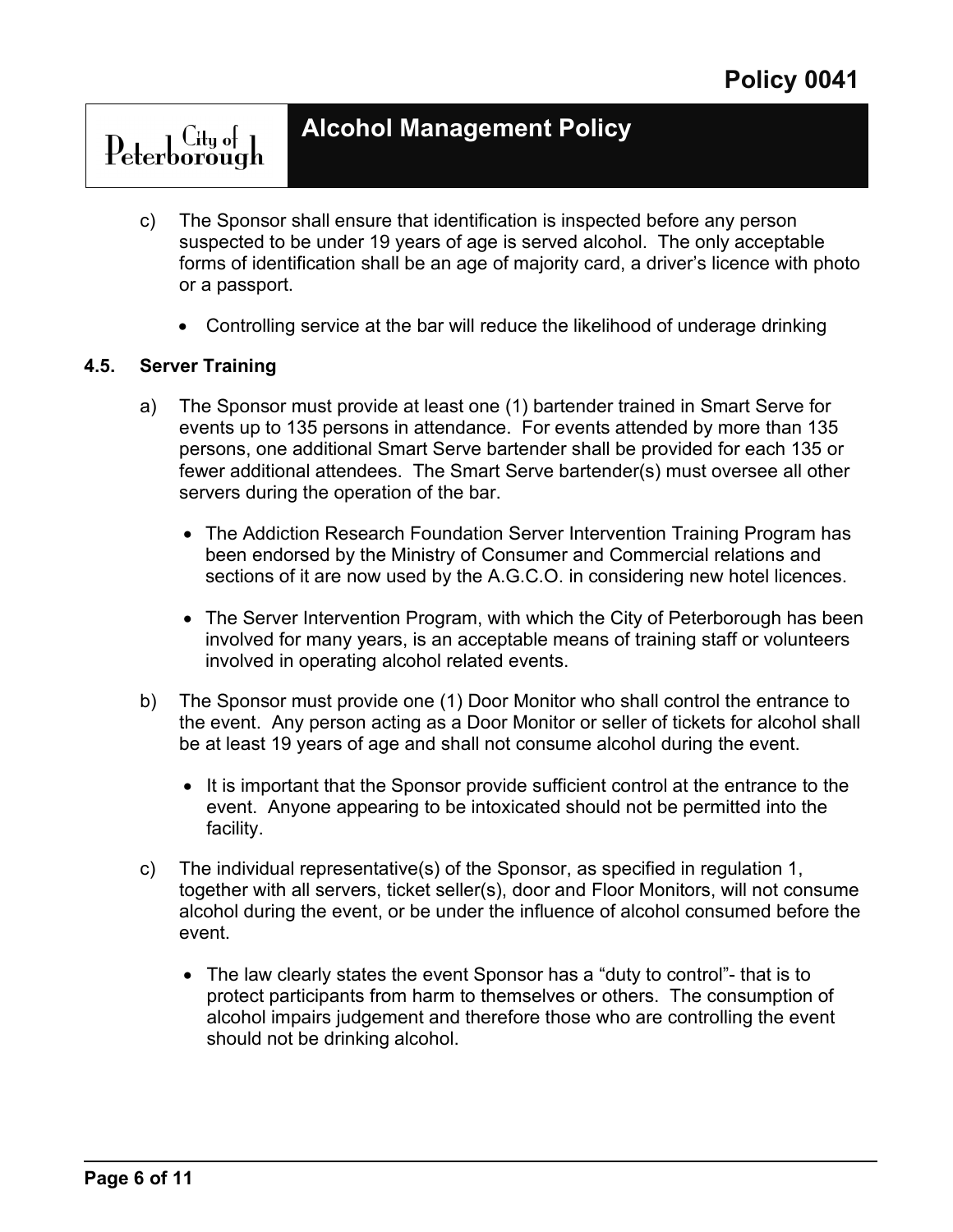## **Alcohol Management Policy**

- c) The Sponsor shall ensure that identification is inspected before any person suspected to be under 19 years of age is served alcohol. The only acceptable forms of identification shall be an age of majority card, a driver's licence with photo or a passport.
	- Controlling service at the bar will reduce the likelihood of underage drinking

### **4.5. Server Training**

- a) The Sponsor must provide at least one (1) bartender trained in Smart Serve for events up to 135 persons in attendance. For events attended by more than 135 persons, one additional Smart Serve bartender shall be provided for each 135 or fewer additional attendees. The Smart Serve bartender(s) must oversee all other servers during the operation of the bar.
	- The Addiction Research Foundation Server Intervention Training Program has been endorsed by the Ministry of Consumer and Commercial relations and sections of it are now used by the A.G.C.O. in considering new hotel licences.
	- The Server Intervention Program, with which the City of Peterborough has been involved for many years, is an acceptable means of training staff or volunteers involved in operating alcohol related events.
- b) The Sponsor must provide one (1) Door Monitor who shall control the entrance to the event. Any person acting as a Door Monitor or seller of tickets for alcohol shall be at least 19 years of age and shall not consume alcohol during the event.
	- It is important that the Sponsor provide sufficient control at the entrance to the event. Anyone appearing to be intoxicated should not be permitted into the facility.
- c) The individual representative(s) of the Sponsor, as specified in regulation 1, together with all servers, ticket seller(s), door and Floor Monitors, will not consume alcohol during the event, or be under the influence of alcohol consumed before the event.
	- The law clearly states the event Sponsor has a "duty to control"- that is to protect participants from harm to themselves or others. The consumption of alcohol impairs judgement and therefore those who are controlling the event should not be drinking alcohol.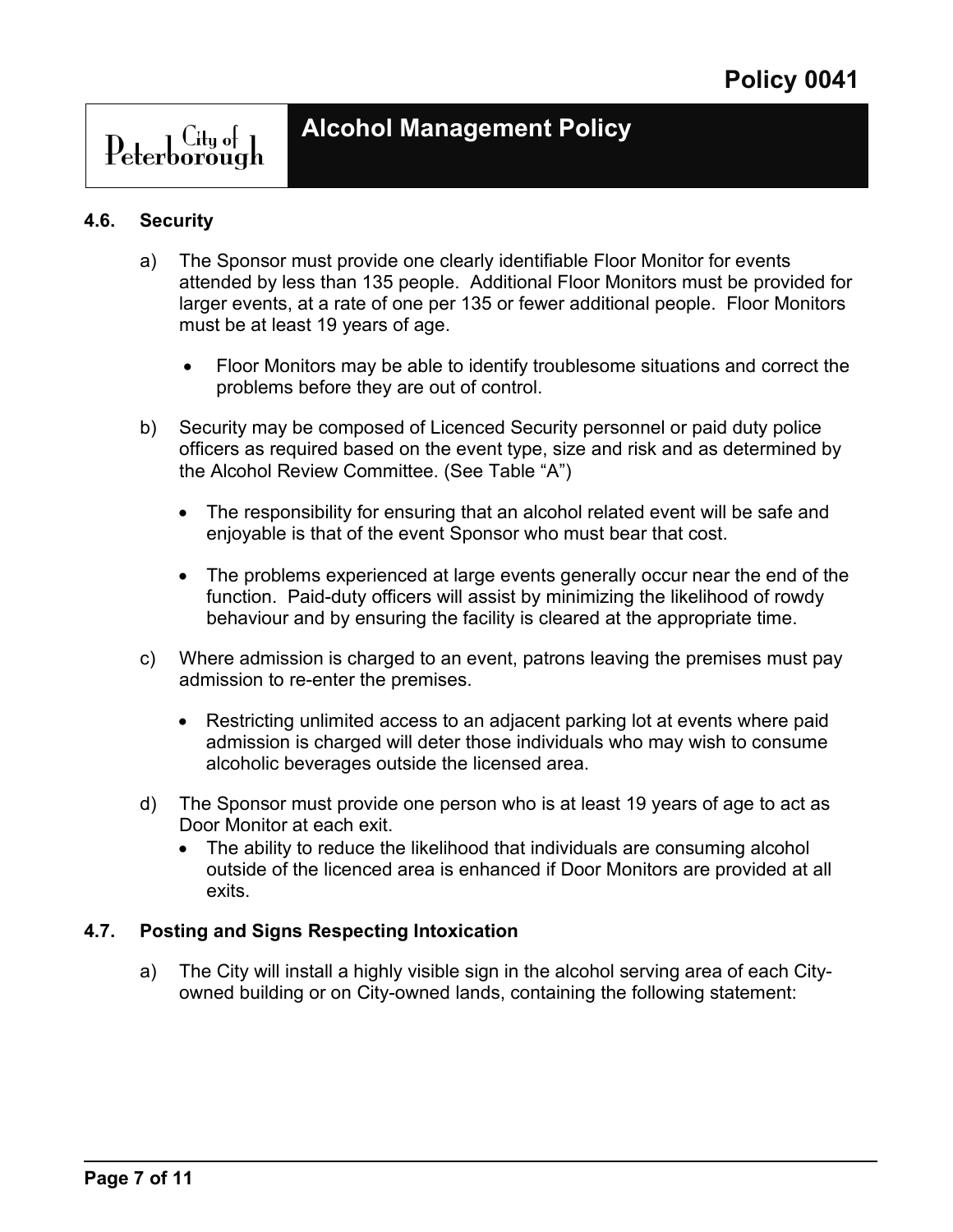## Peterborough

### **4.6. Security**

- a) The Sponsor must provide one clearly identifiable Floor Monitor for events attended by less than 135 people. Additional Floor Monitors must be provided for larger events, at a rate of one per 135 or fewer additional people. Floor Monitors must be at least 19 years of age.
	- Floor Monitors may be able to identify troublesome situations and correct the problems before they are out of control.
- b) Security may be composed of Licenced Security personnel or paid duty police officers as required based on the event type, size and risk and as determined by the Alcohol Review Committee. (See Table "A")
	- The responsibility for ensuring that an alcohol related event will be safe and enjoyable is that of the event Sponsor who must bear that cost.
	- The problems experienced at large events generally occur near the end of the function. Paid-duty officers will assist by minimizing the likelihood of rowdy behaviour and by ensuring the facility is cleared at the appropriate time.
- c) Where admission is charged to an event, patrons leaving the premises must pay admission to re-enter the premises.
	- Restricting unlimited access to an adjacent parking lot at events where paid admission is charged will deter those individuals who may wish to consume alcoholic beverages outside the licensed area.
- d) The Sponsor must provide one person who is at least 19 years of age to act as Door Monitor at each exit.
	- The ability to reduce the likelihood that individuals are consuming alcohol outside of the licenced area is enhanced if Door Monitors are provided at all exits.

### **4.7. Posting and Signs Respecting Intoxication**

a) The City will install a highly visible sign in the alcohol serving area of each Cityowned building or on City-owned lands, containing the following statement: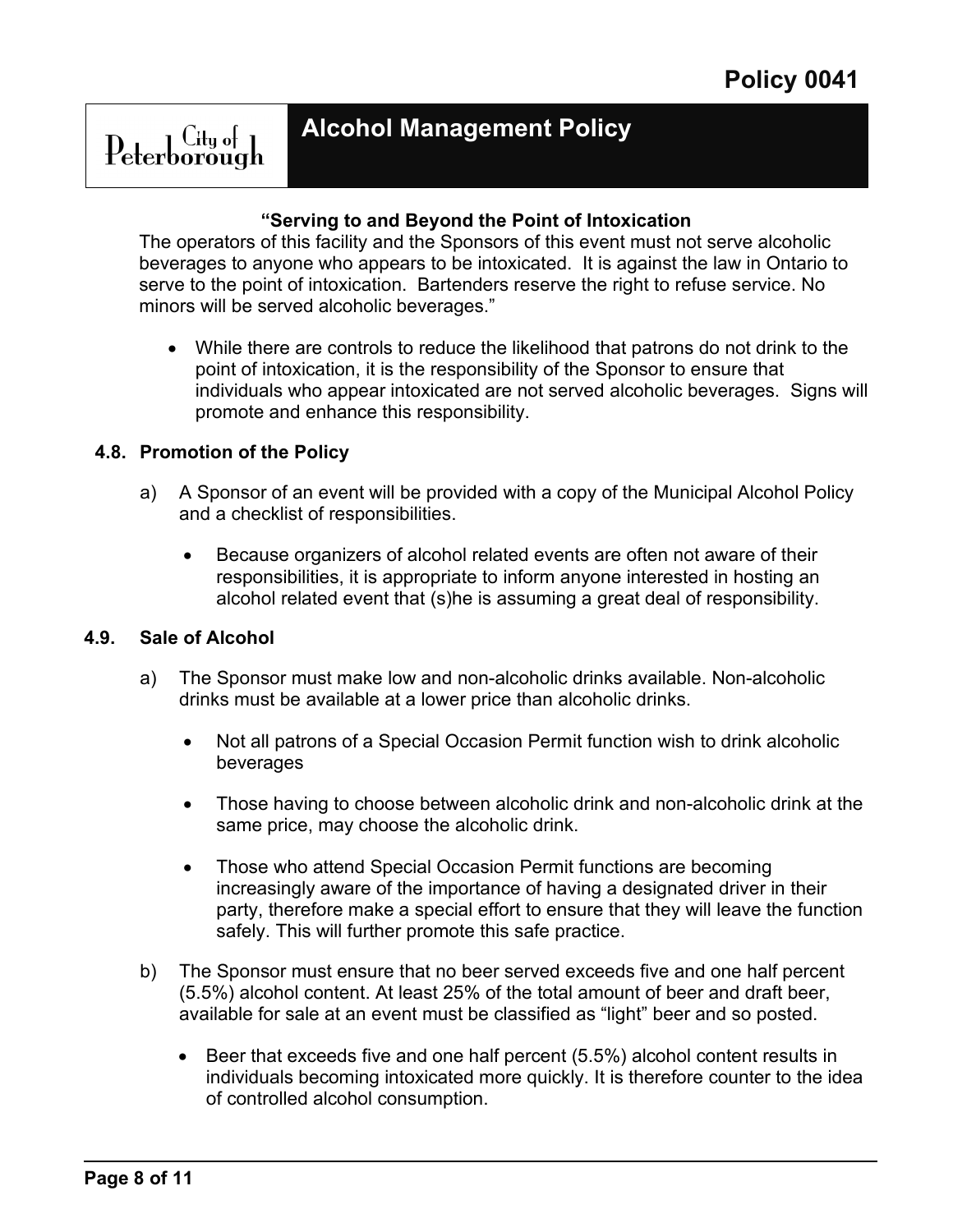### **Alcohol Management Policy**

### **"Serving to and Beyond the Point of Intoxication**

The operators of this facility and the Sponsors of this event must not serve alcoholic beverages to anyone who appears to be intoxicated. It is against the law in Ontario to serve to the point of intoxication. Bartenders reserve the right to refuse service. No minors will be served alcoholic beverages."

• While there are controls to reduce the likelihood that patrons do not drink to the point of intoxication, it is the responsibility of the Sponsor to ensure that individuals who appear intoxicated are not served alcoholic beverages. Signs will promote and enhance this responsibility.

### **4.8. Promotion of the Policy**

- a) A Sponsor of an event will be provided with a copy of the Municipal Alcohol Policy and a checklist of responsibilities.
	- Because organizers of alcohol related events are often not aware of their responsibilities, it is appropriate to inform anyone interested in hosting an alcohol related event that (s)he is assuming a great deal of responsibility.

### **4.9. Sale of Alcohol**

- a) The Sponsor must make low and non-alcoholic drinks available. Non-alcoholic drinks must be available at a lower price than alcoholic drinks.
	- Not all patrons of a Special Occasion Permit function wish to drink alcoholic beverages
	- Those having to choose between alcoholic drink and non-alcoholic drink at the same price, may choose the alcoholic drink.
	- Those who attend Special Occasion Permit functions are becoming increasingly aware of the importance of having a designated driver in their party, therefore make a special effort to ensure that they will leave the function safely. This will further promote this safe practice.
- b) The Sponsor must ensure that no beer served exceeds five and one half percent (5.5%) alcohol content. At least 25% of the total amount of beer and draft beer, available for sale at an event must be classified as "light" beer and so posted.
	- Beer that exceeds five and one half percent (5.5%) alcohol content results in individuals becoming intoxicated more quickly. It is therefore counter to the idea of controlled alcohol consumption.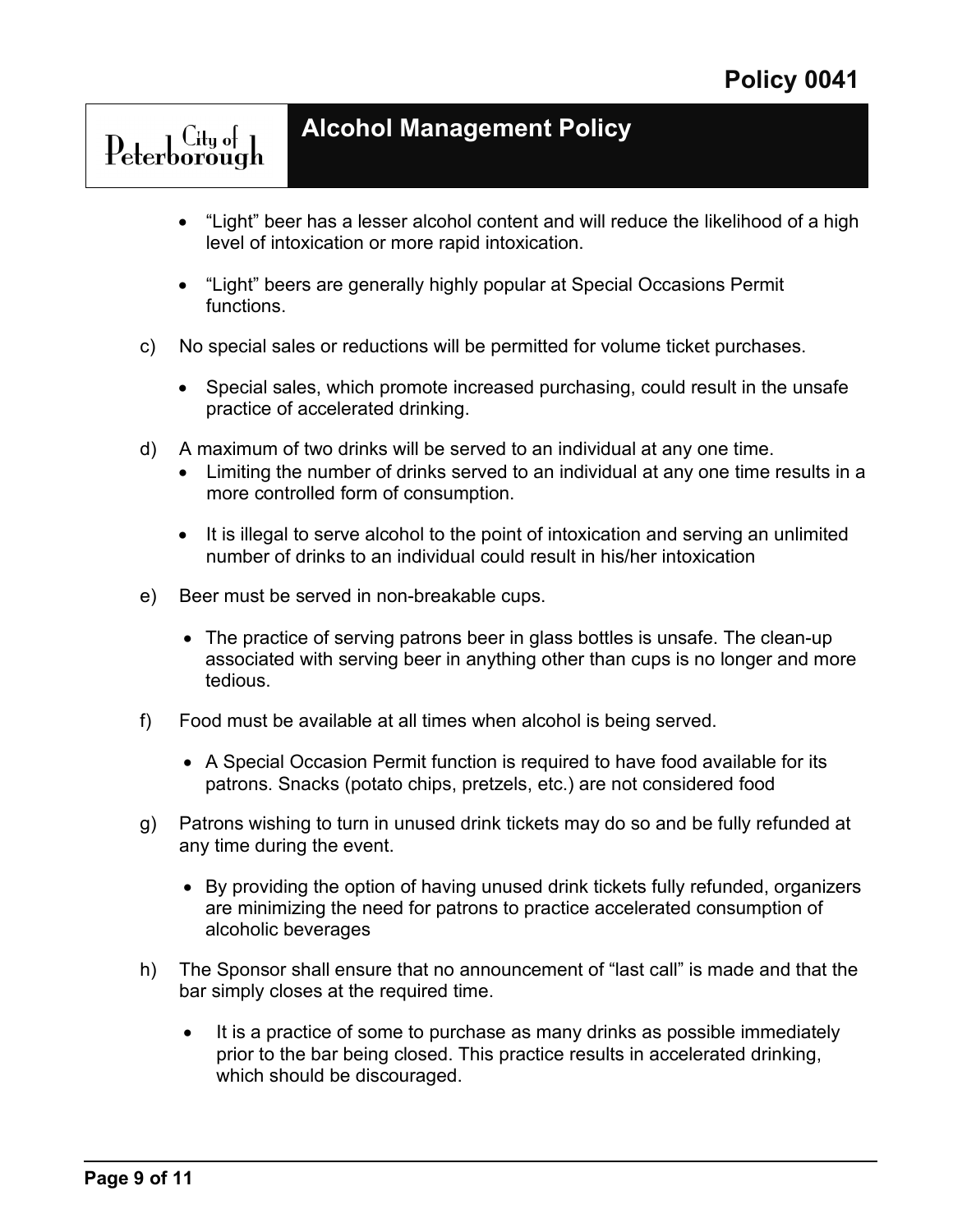- "Light" beer has a lesser alcohol content and will reduce the likelihood of a high level of intoxication or more rapid intoxication.
- "Light" beers are generally highly popular at Special Occasions Permit functions.
- c) No special sales or reductions will be permitted for volume ticket purchases.
	- Special sales, which promote increased purchasing, could result in the unsafe practice of accelerated drinking.
- d) A maximum of two drinks will be served to an individual at any one time.
	- Limiting the number of drinks served to an individual at any one time results in a more controlled form of consumption.
	- It is illegal to serve alcohol to the point of intoxication and serving an unlimited number of drinks to an individual could result in his/her intoxication
- e) Beer must be served in non-breakable cups.

Peterborough

- The practice of serving patrons beer in glass bottles is unsafe. The clean-up associated with serving beer in anything other than cups is no longer and more tedious.
- f) Food must be available at all times when alcohol is being served.
	- A Special Occasion Permit function is required to have food available for its patrons. Snacks (potato chips, pretzels, etc.) are not considered food
- g) Patrons wishing to turn in unused drink tickets may do so and be fully refunded at any time during the event.
	- By providing the option of having unused drink tickets fully refunded, organizers are minimizing the need for patrons to practice accelerated consumption of alcoholic beverages
- h) The Sponsor shall ensure that no announcement of "last call" is made and that the bar simply closes at the required time.
	- It is a practice of some to purchase as many drinks as possible immediately prior to the bar being closed. This practice results in accelerated drinking, which should be discouraged.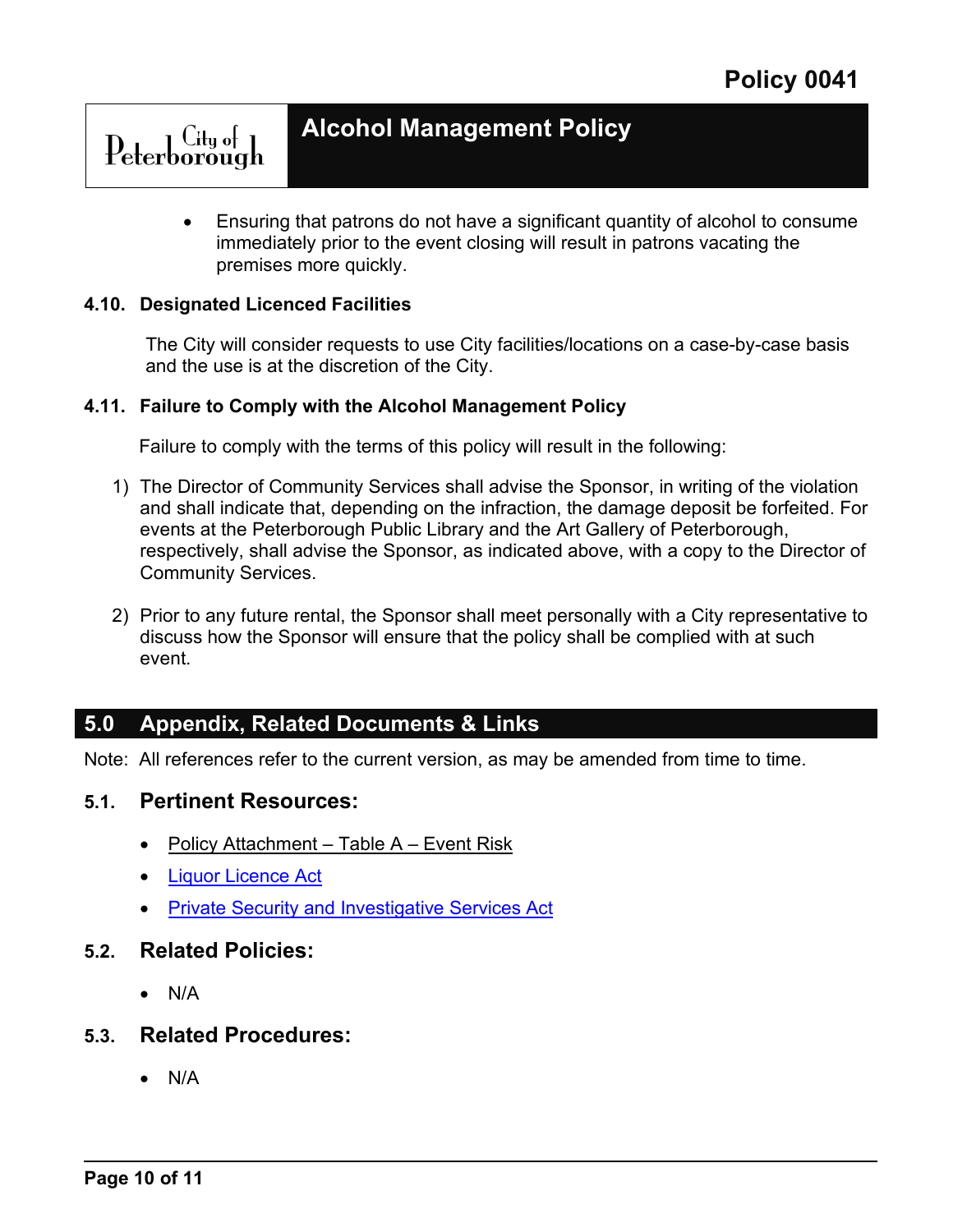• Ensuring that patrons do not have a significant quantity of alcohol to consume immediately prior to the event closing will result in patrons vacating the premises more quickly.

#### **4.10. Designated Licenced Facilities**

Peterborough

The City will consider requests to use City facilities/locations on a case-by-case basis and the use is at the discretion of the City.

#### **4.11. Failure to Comply with the Alcohol Management Policy**

Failure to comply with the terms of this policy will result in the following:

- 1) The Director of Community Services shall advise the Sponsor, in writing of the violation and shall indicate that, depending on the infraction, the damage deposit be forfeited. For events at the Peterborough Public Library and the Art Gallery of Peterborough, respectively, shall advise the Sponsor, as indicated above, with a copy to the Director of Community Services.
- 2) Prior to any future rental, the Sponsor shall meet personally with a City representative to discuss how the Sponsor will ensure that the policy shall be complied with at such event.

### **5.0 Appendix, Related Documents & Links**

Note: All references refer to the current version, as may be amended from time to time.

### **5.1. Pertinent Resources:**

- Policy Attachment Table A Event Risk
- [Liquor Licence Act](https://www.ontario.ca/laws/statute/90l19)
- **Private Security and Investigative Services Act**

### **5.2. Related Policies:**

• N/A

### **5.3. Related Procedures:**

• N/A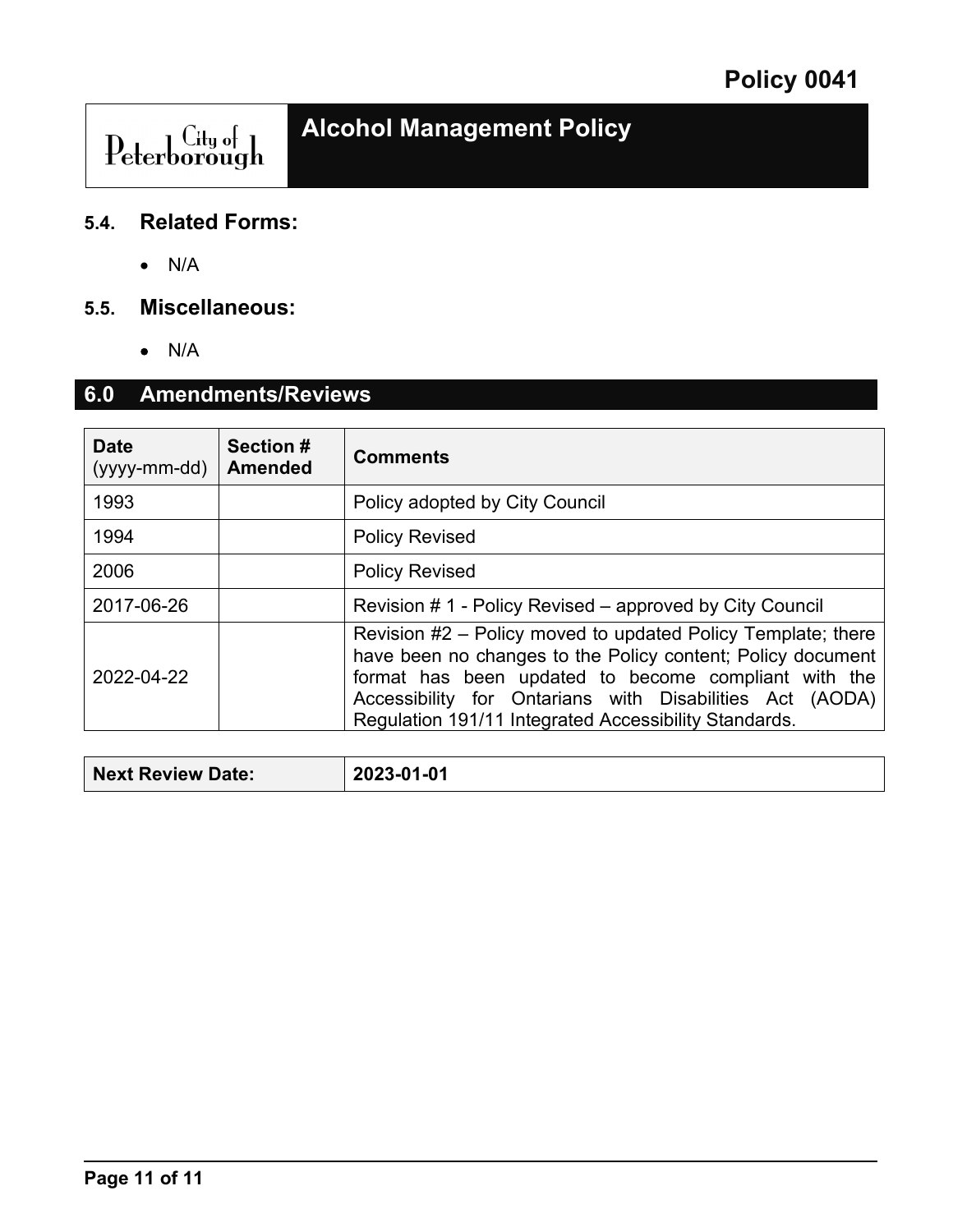# ${\color{red} \mathop{\text{\rm Peterborough}}\nolimits}$

### **5.4. Related Forms:**

• N/A

### **5.5. Miscellaneous:**

• N/A

## **6.0 Amendments/Reviews**

| <b>Date</b><br>(yyyy-mm-dd) | <b>Section #</b><br>Amended | <b>Comments</b>                                                                                                                                                                                                                                                                                          |  |
|-----------------------------|-----------------------------|----------------------------------------------------------------------------------------------------------------------------------------------------------------------------------------------------------------------------------------------------------------------------------------------------------|--|
| 1993                        |                             | Policy adopted by City Council                                                                                                                                                                                                                                                                           |  |
| 1994                        |                             | <b>Policy Revised</b>                                                                                                                                                                                                                                                                                    |  |
| 2006                        |                             | <b>Policy Revised</b>                                                                                                                                                                                                                                                                                    |  |
| 2017-06-26                  |                             | Revision # 1 - Policy Revised – approved by City Council                                                                                                                                                                                                                                                 |  |
| 2022-04-22                  |                             | Revision #2 – Policy moved to updated Policy Template; there<br>have been no changes to the Policy content; Policy document<br>format has been updated to become compliant with the<br>Accessibility for Ontarians with Disabilities Act (AODA)<br>Regulation 191/11 Integrated Accessibility Standards. |  |

| 2023-01-01<br>Next Review Date: |  |
|---------------------------------|--|
|---------------------------------|--|